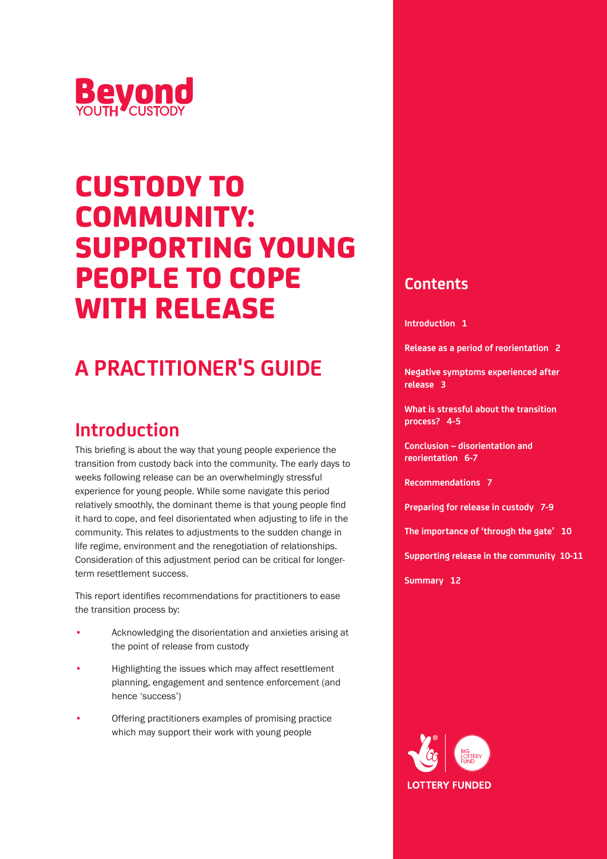

# CUSTODY TO COMMUNITY: SUPPORTING YOUNG PEOPLE TO COPE WITH RELEASE

# **A PRACTITIONER'S GUIDE**

### **Introduction**

This briefing is about the way that young people experience the transition from custody back into the community. The early days to weeks following release can be an overwhelmingly stressful experience for young people. While some navigate this period relatively smoothly, the dominant theme is that young people find it hard to cope, and feel disorientated when adjusting to life in the community. This relates to adjustments to the sudden change in life regime, environment and the renegotiation of relationships. Consideration of this adjustment period can be critical for longerterm resettlement success.

This report identifies recommendations for practitioners to ease the transition process by:

- Acknowledging the disorientation and anxieties arising at the point of release from custody
- Highlighting the issues which may affect resettlement planning, engagement and sentence enforcement (and hence 'success')
- Offering practitioners examples of promising practice which may support their work with young people

### **Contents**

**Introduction 1**

**Release as a period of reorientation 2**

**Negative symptoms experienced after release 3**

**What is stressful about the transition process? 4-5**

**Conclusion – disorientation and reorientation 6-7**

**Recommendations 7\_**

**Preparing for release in custody 7-9**

**The importance of 'through the gate' 10**

**Supporting release in the community 10-11**

**Summary 12**

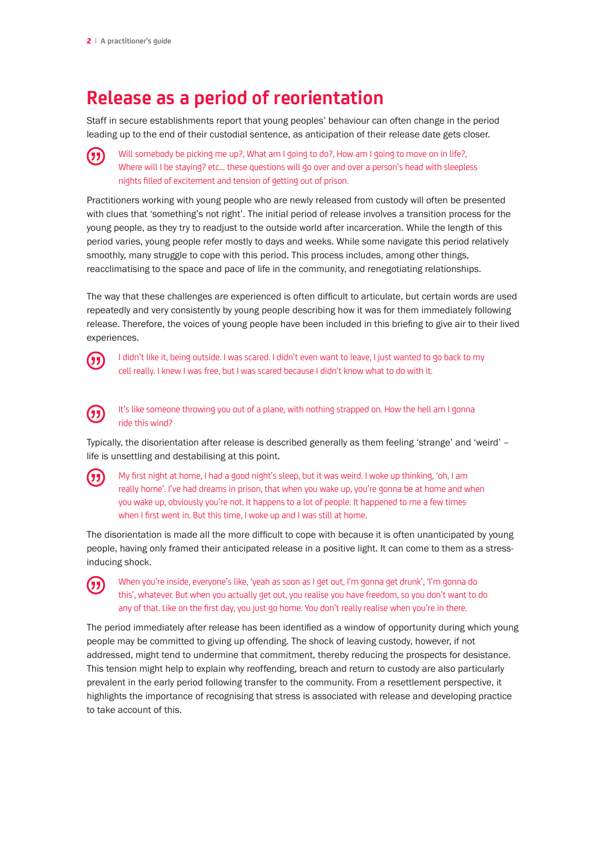## **Release as a period of reorientation**

Staff in secure establishments report that young peoples' behaviour can often change in the period leading up to the end of their custodial sentence, as anticipation of their release date gets closer.

卬

Will somebody be picking me up?, What am I going to do?, How am I going to move on in life?, Where will I be staying? etc… these questions will go over and over a person's head with sleepless nights filled of excitement and tension of getting out of prison.

Practitioners working with young people who are newly released from custody will often be presented with clues that 'something's not right'. The initial period of release involves a transition process for the young people, as they try to readjust to the outside world after incarceration. While the length of this period varies, young people refer mostly to days and weeks. While some navigate this period relatively smoothly, many struggle to cope with this period. This process includes, among other things, reacclimatising to the space and pace of life in the community, and renegotiating relationships.

The way that these challenges are experienced is often difficult to articulate, but certain words are used repeatedly and very consistently by young people describing how it was for them immediately following release. Therefore, the voices of young people have been included in this briefing to give air to their lived experiences.



I didn't like it, being outside. I was scared. I didn't even want to leave, I just wanted to go back to my cell really. I knew I was free, but I was scared because I didn't know what to do with it.



(万

It's like someone throwing you out of a plane, with nothing strapped on. How the hell am I gonna ride this wind?

Typically, the disorientation after release is described generally as them feeling 'strange' and 'weird' – life is unsettling and destabilising at this point.

My first night at home, I had a good night's sleep, but it was weird. I woke up thinking, 'oh, I am really home'. I've had dreams in prison, that when you wake up, you're gonna be at home and when you wake up, obviously you're not. It happens to a lot of people. It happened to me a few times when I first went in. But this time, I woke up and I was still at home.

The disorientation is made all the more difficult to cope with because it is often unanticipated by young people, having only framed their anticipated release in a positive light. It can come to them as a stressinducing shock.

When you're inside, everyone's like, 'yeah as soon as I get out, I'm gonna get drunk', 'I'm gonna do  $(5)$ this', whatever. But when you actually get out, you realise you have freedom, so you don't want to do any of that. Like on the first day, you just go home. You don't really realise when you're in there.

The period immediately after release has been identified as a window of opportunity during which young people may be committed to giving up offending. The shock of leaving custody, however, if not addressed, might tend to undermine that commitment, thereby reducing the prospects for desistance. This tension might help to explain why reoffending, breach and return to custody are also particularly prevalent in the early period following transfer to the community. From a resettlement perspective, it highlights the importance of recognising that stress is associated with release and developing practice to take account of this.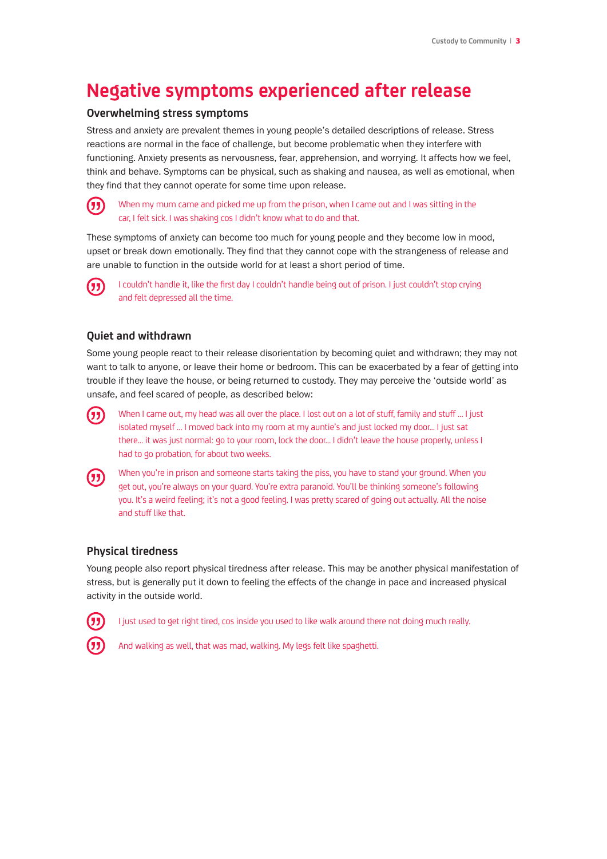### **Negative symptoms experienced after release**

#### **Overwhelming stress symptoms**

Stress and anxiety are prevalent themes in young people's detailed descriptions of release. Stress reactions are normal in the face of challenge, but become problematic when they interfere with functioning. Anxiety presents as nervousness, fear, apprehension, and worrying. It affects how we feel, think and behave. Symptoms can be physical, such as shaking and nausea, as well as emotional, when they find that they cannot operate for some time upon release.

#### When my mum came and picked me up from the prison, when I came out and I was sitting in the car, I felt sick. I was shaking cos I didn't know what to do and that.

These symptoms of anxiety can become too much for young people and they become low in mood, upset or break down emotionally. They find that they cannot cope with the strangeness of release and are unable to function in the outside world for at least a short period of time.



(33

I couldn't handle it, like the first day I couldn't handle being out of prison. I just couldn't stop crying and felt depressed all the time.

#### **Quiet and withdrawn**

Some young people react to their release disorientation by becoming quiet and withdrawn; they may not want to talk to anyone, or leave their home or bedroom. This can be exacerbated by a fear of getting into trouble if they leave the house, or being returned to custody. They may perceive the 'outside world' as unsafe, and feel scared of people, as described below:



When I came out, my head was all over the place. I lost out on a lot of stuff, family and stuff … I just isolated myself … I moved back into my room at my auntie's and just locked my door... I just sat there… it was just normal: go to your room, lock the door… I didn't leave the house properly, unless I had to go probation, for about two weeks.



When you're in prison and someone starts taking the piss, you have to stand your ground. When you get out, you're always on your guard. You're extra paranoid. You'll be thinking someone's following you. It's a weird feeling; it's not a good feeling. I was pretty scared of going out actually. All the noise and stuff like that.

#### **Physical tiredness**

Young people also report physical tiredness after release. This may be another physical manifestation of stress, but is generally put it down to feeling the effects of the change in pace and increased physical activity in the outside world.



I just used to get right tired, cos inside you used to like walk around there not doing much really.



And walking as well, that was mad, walking. My legs felt like spaghetti.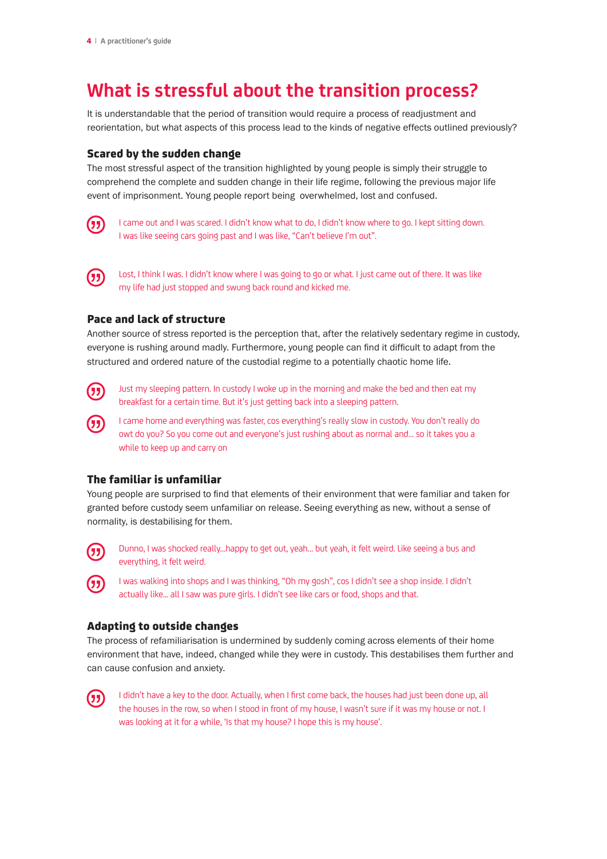# **What is stressful about the transition process?**

It is understandable that the period of transition would require a process of readjustment and reorientation, but what aspects of this process lead to the kinds of negative effects outlined previously?

#### Scared by the sudden change

The most stressful aspect of the transition highlighted by young people is simply their struggle to comprehend the complete and sudden change in their life regime, following the previous major life event of imprisonment. Young people report being overwhelmed, lost and confused.



I came out and I was scared. I didn't know what to do, I didn't know where to go. I kept sitting down. I was like seeing cars going past and I was like, "Can't believe I'm out".



Lost, I think I was. I didn't know where I was going to go or what. I just came out of there. It was like my life had just stopped and swung back round and kicked me.

#### Pace and lack of structure

Another source of stress reported is the perception that, after the relatively sedentary regime in custody, everyone is rushing around madly. Furthermore, young people can find it difficult to adapt from the structured and ordered nature of the custodial regime to a potentially chaotic home life.



Just my sleeping pattern. In custody I woke up in the morning and make the bed and then eat my breakfast for a certain time. But it's just getting back into a sleeping pattern.

I came home and everything was faster, cos everything's really slow in custody. You don't really do owt do you? So you come out and everyone's just rushing about as normal and... so it takes you a while to keep up and carry on

#### The familiar is unfamiliar

Young people are surprised to find that elements of their environment that were familiar and taken for granted before custody seem unfamiliar on release. Seeing everything as new, without a sense of normality, is destabilising for them.



Dunno, I was shocked really…happy to get out, yeah… but yeah, it felt weird. Like seeing a bus and everything, it felt weird.

I was walking into shops and I was thinking, "Oh my gosh", cos I didn't see a shop inside. I didn't actually like... all I saw was pure girls. I didn't see like cars or food, shops and that.

#### Adapting to outside changes

The process of refamiliarisation is undermined by suddenly coming across elements of their home environment that have, indeed, changed while they were in custody. This destabilises them further and can cause confusion and anxiety.



I didn't have a key to the door. Actually, when I first come back, the houses had just been done up, all the houses in the row, so when I stood in front of my house, I wasn't sure if it was my house or not. I was looking at it for a while, 'Is that my house? I hope this is my house'.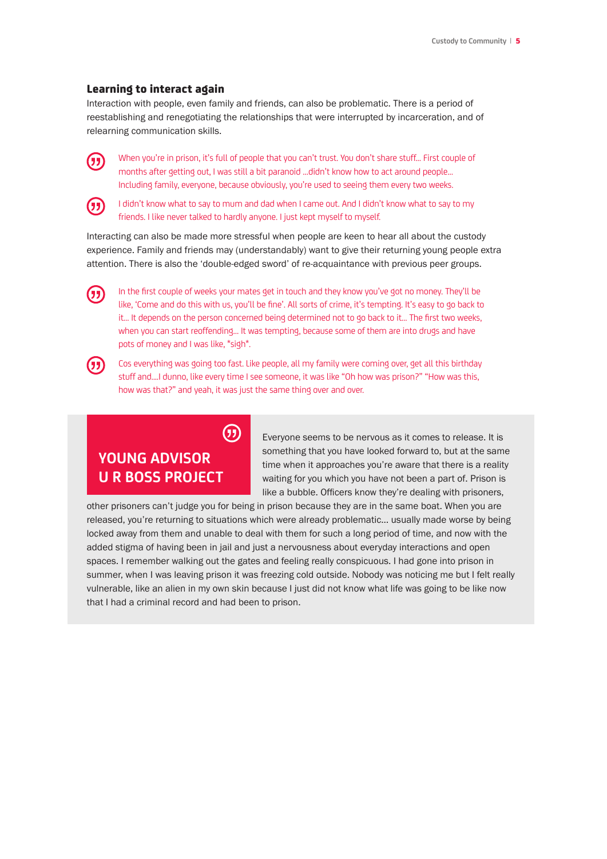#### Learning to interact again

Interaction with people, even family and friends, can also be problematic. There is a period of reestablishing and renegotiating the relationships that were interrupted by incarceration, and of relearning communication skills.



When you're in prison, it's full of people that you can't trust. You don't share stuff… First couple of months after getting out, I was still a bit paranoid …didn't know how to act around people… Including family, everyone, because obviously, you're used to seeing them every two weeks.



I didn't know what to say to mum and dad when I came out. And I didn't know what to say to my friends. I like never talked to hardly anyone. I just kept myself to myself.

Interacting can also be made more stressful when people are keen to hear all about the custody experience. Family and friends may (understandably) want to give their returning young people extra attention. There is also the 'double-edged sword' of re-acquaintance with previous peer groups.



In the first couple of weeks your mates get in touch and they know you've got no money. They'll be like, 'Come and do this with us, you'll be fine'. All sorts of crime, it's tempting. It's easy to go back to it… It depends on the person concerned being determined not to go back to it… The first two weeks, when you can start reoffending… It was tempting, because some of them are into drugs and have pots of money and I was like, \*sigh\*.



Cos everything was going too fast. Like people, all my family were coming over, get all this birthday stuff and....I dunno, like every time I see someone, it was like "Oh how was prison?" "How was this, how was that?" and yeah, it was just the same thing over and over.

# **YOUNG ADVISOR U R BOSS PROJECT**

 $\mathcal{F}$ 

Everyone seems to be nervous as it comes to release. It is something that you have looked forward to, but at the same time when it approaches you're aware that there is a reality waiting for you which you have not been a part of. Prison is like a bubble. Officers know they're dealing with prisoners,

other prisoners can't judge you for being in prison because they are in the same boat. When you are released, you're returning to situations which were already problematic… usually made worse by being locked away from them and unable to deal with them for such a long period of time, and now with the added stigma of having been in jail and just a nervousness about everyday interactions and open spaces. I remember walking out the gates and feeling really conspicuous. I had gone into prison in summer, when I was leaving prison it was freezing cold outside. Nobody was noticing me but I felt really vulnerable, like an alien in my own skin because I just did not know what life was going to be like now that I had a criminal record and had been to prison.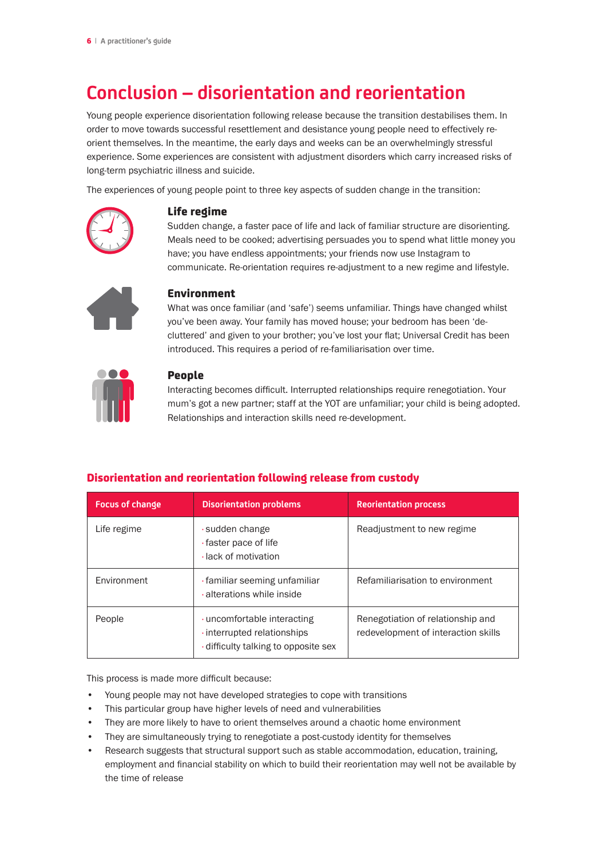# **Conclusion – disorientation and reorientation**

Young people experience disorientation following release because the transition destabilises them. In order to move towards successful resettlement and desistance young people need to effectively reorient themselves. In the meantime, the early days and weeks can be an overwhelmingly stressful experience. Some experiences are consistent with adjustment disorders which carry increased risks of long-term psychiatric illness and suicide.

The experiences of young people point to three key aspects of sudden change in the transition:



#### Life regime

Sudden change, a faster pace of life and lack of familiar structure are disorienting. Meals need to be cooked; advertising persuades you to spend what little money you have; you have endless appointments; your friends now use Instagram to communicate. Re-orientation requires re-adjustment to a new regime and lifestyle.



#### Environment

What was once familiar (and 'safe') seems unfamiliar. Things have changed whilst you've been away. Your family has moved house; your bedroom has been 'decluttered' and given to your brother; you've lost your flat; Universal Credit has been introduced. This requires a period of re-familiarisation over time.



#### People

Interacting becomes difficult. Interrupted relationships require renegotiation. Your mum's got a new partner; staff at the YOT are unfamiliar; your child is being adopted. Relationships and interaction skills need re-development.

| <b>Focus of change</b> | <b>Disorientation problems</b>                                                                 | <b>Reorientation process</b>                                             |
|------------------------|------------------------------------------------------------------------------------------------|--------------------------------------------------------------------------|
| Life regime            | sudden change<br>· faster pace of life<br>· lack of motivation                                 | Readjustment to new regime                                               |
| Environment            | · familiar seeming unfamiliar<br>· alterations while inside                                    | Refamiliarisation to environment                                         |
| People                 | uncomfortable interacting<br>· interrupted relationships<br>difficulty talking to opposite sex | Renegotiation of relationship and<br>redevelopment of interaction skills |

#### Disorientation and reorientation following release from custody

This process is made more difficult because:

- Young people may not have developed strategies to cope with transitions
- This particular group have higher levels of need and vulnerabilities
- They are more likely to have to orient themselves around a chaotic home environment
- They are simultaneously trying to renegotiate a post-custody identity for themselves
- Research suggests that structural support such as stable accommodation, education, training, employment and financial stability on which to build their reorientation may well not be available by the time of release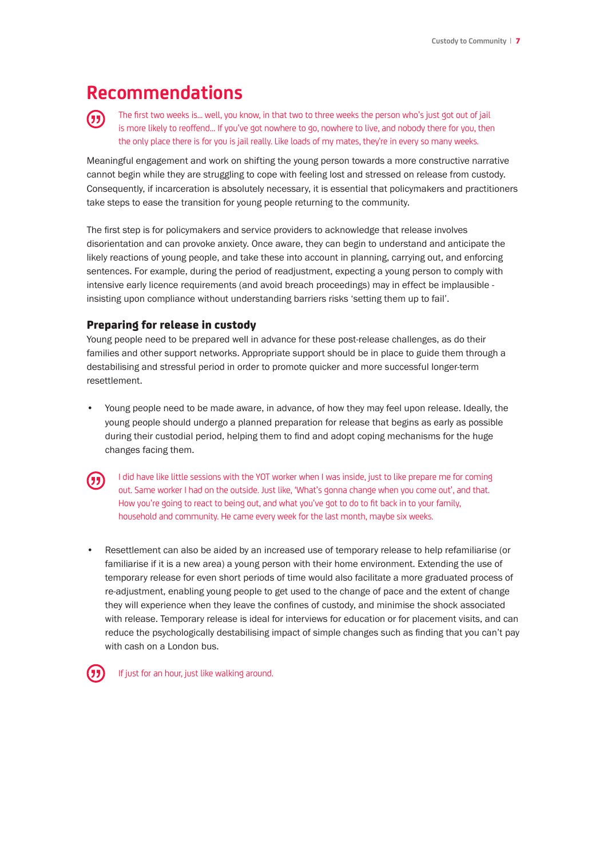### **Recommendations**

The first two weeks is... well, you know, in that two to three weeks the person who's just got out of jail 历 is more likely to reoffend... If you've got nowhere to go, nowhere to live, and nobody there for you, then the only place there is for you is jail really. Like loads of my mates, they're in every so many weeks.

Meaningful engagement and work on shifting the young person towards a more constructive narrative cannot begin while they are struggling to cope with feeling lost and stressed on release from custody. Consequently, if incarceration is absolutely necessary, it is essential that policymakers and practitioners take steps to ease the transition for young people returning to the community.

The first step is for policymakers and service providers to acknowledge that release involves disorientation and can provoke anxiety. Once aware, they can begin to understand and anticipate the likely reactions of young people, and take these into account in planning, carrying out, and enforcing sentences. For example, during the period of readjustment, expecting a young person to comply with intensive early licence requirements (and avoid breach proceedings) may in effect be implausible insisting upon compliance without understanding barriers risks 'setting them up to fail'.

#### Preparing for release in custody

Young people need to be prepared well in advance for these post-release challenges, as do their families and other support networks. Appropriate support should be in place to guide them through a destabilising and stressful period in order to promote quicker and more successful longer-term resettlement.

• Young people need to be made aware, in advance, of how they may feel upon release. Ideally, the young people should undergo a planned preparation for release that begins as early as possible during their custodial period, helping them to find and adopt coping mechanisms for the huge changes facing them.

I did have like little sessions with the YOT worker when I was inside, just to like prepare me for coming out. Same worker I had on the outside. Just like, 'What's gonna change when you come out', and that. How you're going to react to being out, and what you've got to do to fit back in to your family, household and community. He came every week for the last month, maybe six weeks.

• Resettlement can also be aided by an increased use of temporary release to help refamiliarise (or familiarise if it is a new area) a young person with their home environment. Extending the use of temporary release for even short periods of time would also facilitate a more graduated process of re-adjustment, enabling young people to get used to the change of pace and the extent of change they will experience when they leave the confines of custody, and minimise the shock associated with release. Temporary release is ideal for interviews for education or for placement visits, and can reduce the psychologically destabilising impact of simple changes such as finding that you can't pay with cash on a London bus.



If just for an hour, just like walking around.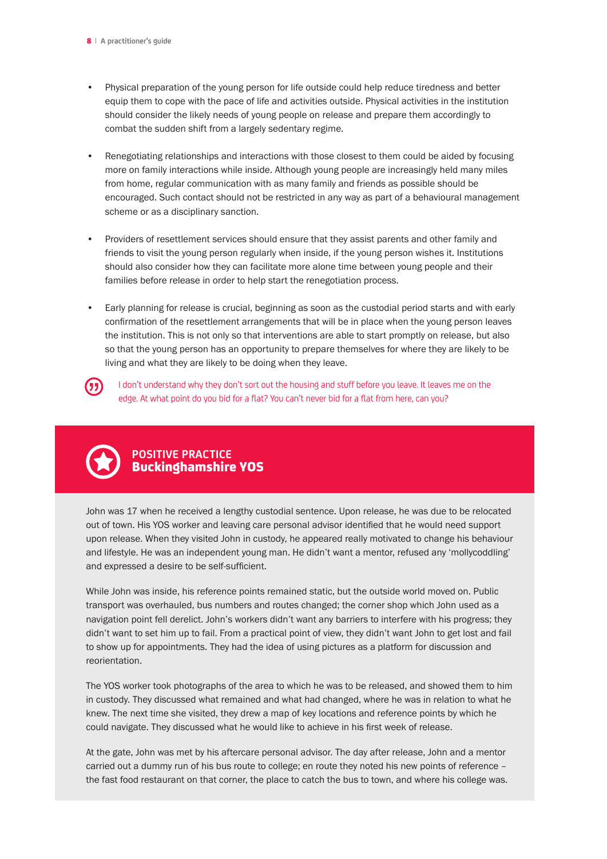- Physical preparation of the young person for life outside could help reduce tiredness and better equip them to cope with the pace of life and activities outside. Physical activities in the institution should consider the likely needs of young people on release and prepare them accordingly to combat the sudden shift from a largely sedentary regime.
- Renegotiating relationships and interactions with those closest to them could be aided by focusing more on family interactions while inside. Although young people are increasingly held many miles from home, regular communication with as many family and friends as possible should be encouraged. Such contact should not be restricted in any way as part of a behavioural management scheme or as a disciplinary sanction.
- Providers of resettlement services should ensure that they assist parents and other family and friends to visit the young person regularly when inside, if the young person wishes it. Institutions should also consider how they can facilitate more alone time between young people and their families before release in order to help start the renegotiation process.
- Early planning for release is crucial, beginning as soon as the custodial period starts and with early confirmation of the resettlement arrangements that will be in place when the young person leaves the institution. This is not only so that interventions are able to start promptly on release, but also so that the young person has an opportunity to prepare themselves for where they are likely to be living and what they are likely to be doing when they leave.



I don't understand why they don't sort out the housing and stuff before you leave. It leaves me on the edge. At what point do you bid for a flat? You can't never bid for a flat from here, can you?



#### **POSITIVE PRACTICE** Buckinghamshire YOS

John was 17 when he received a lengthy custodial sentence. Upon release, he was due to be relocated out of town. His YOS worker and leaving care personal advisor identified that he would need support upon release. When they visited John in custody, he appeared really motivated to change his behaviour and lifestyle. He was an independent young man. He didn't want a mentor, refused any 'mollycoddling' and expressed a desire to be self-sufficient.

While John was inside, his reference points remained static, but the outside world moved on. Public transport was overhauled, bus numbers and routes changed; the corner shop which John used as a navigation point fell derelict. John's workers didn't want any barriers to interfere with his progress; they didn't want to set him up to fail. From a practical point of view, they didn't want John to get lost and fail to show up for appointments. They had the idea of using pictures as a platform for discussion and reorientation.

The YOS worker took photographs of the area to which he was to be released, and showed them to him in custody. They discussed what remained and what had changed, where he was in relation to what he knew. The next time she visited, they drew a map of key locations and reference points by which he could navigate. They discussed what he would like to achieve in his first week of release.

At the gate, John was met by his aftercare personal advisor. The day after release, John and a mentor carried out a dummy run of his bus route to college; en route they noted his new points of reference – the fast food restaurant on that corner, the place to catch the bus to town, and where his college was.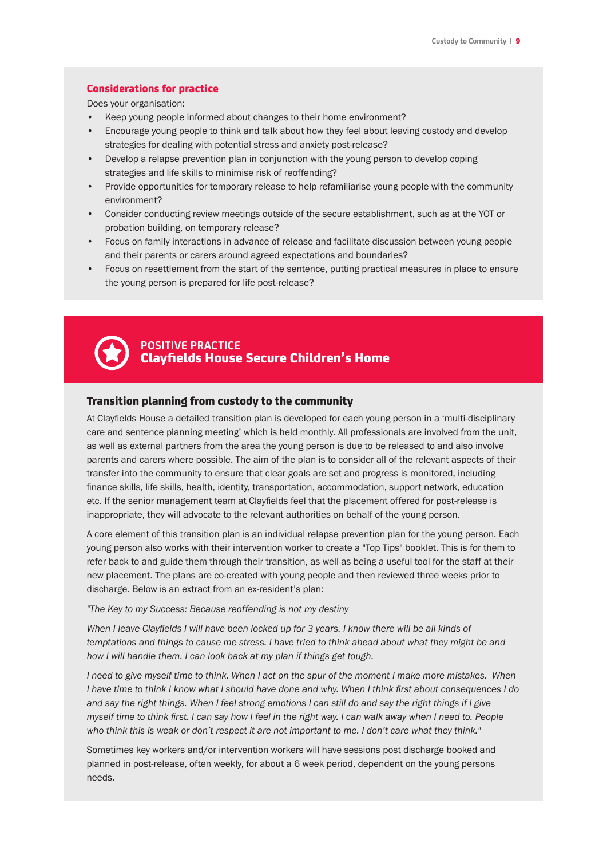#### Considerations for practice

Does your organisation:

- Keep young people informed about changes to their home environment?
- Encourage young people to think and talk about how they feel about leaving custody and develop strategies for dealing with potential stress and anxiety post-release?
- Develop a relapse prevention plan in conjunction with the young person to develop coping strategies and life skills to minimise risk of reoffending?
- Provide opportunities for temporary release to help refamiliarise young people with the community environment?
- Consider conducting review meetings outside of the secure establishment, such as at the YOT or probation building, on temporary release?
- Focus on family interactions in advance of release and facilitate discussion between young people and their parents or carers around agreed expectations and boundaries?
- Focus on resettlement from the start of the sentence, putting practical measures in place to ensure the young person is prepared for life post-release?



#### **POSITIVE PRACTICE** Clayfields House Secure Children's Home

#### Transition planning from custody to the community

At Clayfields House a detailed transition plan is developed for each young person in a 'multi-disciplinary care and sentence planning meeting' which is held monthly. All professionals are involved from the unit, as well as external partners from the area the young person is due to be released to and also involve parents and carers where possible. The aim of the plan is to consider all of the relevant aspects of their transfer into the community to ensure that clear goals are set and progress is monitored, including finance skills, life skills, health, identity, transportation, accommodation, support network, education etc. If the senior management team at Clayfields feel that the placement offered for post-release is inappropriate, they will advocate to the relevant authorities on behalf of the young person.

A core element of this transition plan is an individual relapse prevention plan for the young person. Each young person also works with their intervention worker to create a "Top Tips" booklet. This is for them to refer back to and guide them through their transition, as well as being a useful tool for the staff at their new placement. The plans are co-created with young people and then reviewed three weeks prior to discharge. Below is an extract from an ex-resident's plan:

*"The Key to my Success: Because reoffending is not my destiny*

When I leave Clayfields I will have been locked up for 3 years. I know there will be all kinds of *temptations and things to cause me stress. I have tried to think ahead about what they might be and how I will handle them. I can look back at my plan if things get tough.*

*I* need to give myself time to think. When I act on the spur of the moment I make more mistakes. When *I have time to think I know what I should have done and why. When I think first about consequences I do and say the right things. When I feel strong emotions I can still do and say the right things if I give myself time to think first. I can say how I feel in the right way. I can walk away when I need to. People who think this is weak or don't respect it are not important to me. I don't care what they think."*

Sometimes key workers and/or intervention workers will have sessions post discharge booked and planned in post-release, often weekly, for about a 6 week period, dependent on the young persons needs.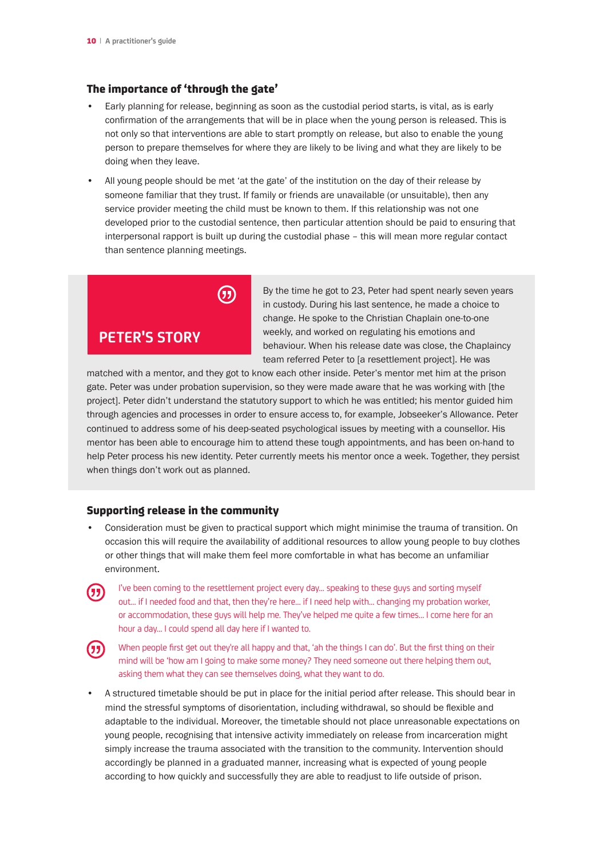#### The importance of 'through the gate'

- Early planning for release, beginning as soon as the custodial period starts, is vital, as is early confirmation of the arrangements that will be in place when the young person is released. This is not only so that interventions are able to start promptly on release, but also to enable the young person to prepare themselves for where they are likely to be living and what they are likely to be doing when they leave.
- All young people should be met 'at the gate' of the institution on the day of their release by someone familiar that they trust. If family or friends are unavailable (or unsuitable), then any service provider meeting the child must be known to them. If this relationship was not one developed prior to the custodial sentence, then particular attention should be paid to ensuring that interpersonal rapport is built up during the custodial phase – this will mean more regular contact than sentence planning meetings.



By the time he got to 23, Peter had spent nearly seven years in custody. During his last sentence, he made a choice to change. He spoke to the Christian Chaplain one-to-one weekly, and worked on regulating his emotions and behaviour. When his release date was close, the Chaplaincy team referred Peter to [a resettlement project]. He was

matched with a mentor, and they got to know each other inside. Peter's mentor met him at the prison gate. Peter was under probation supervision, so they were made aware that he was working with [the project]. Peter didn't understand the statutory support to which he was entitled; his mentor guided him through agencies and processes in order to ensure access to, for example, Jobseeker's Allowance. Peter continued to address some of his deep-seated psychological issues by meeting with a counsellor. His mentor has been able to encourage him to attend these tough appointments, and has been on-hand to help Peter process his new identity. Peter currently meets his mentor once a week. Together, they persist when things don't work out as planned.

#### Supporting release in the community

- Consideration must be given to practical support which might minimise the trauma of transition. On occasion this will require the availability of additional resources to allow young people to buy clothes or other things that will make them feel more comfortable in what has become an unfamiliar environment.
	- I've been coming to the resettlement project every day... speaking to these guys and sorting myself out… if I needed food and that, then they're here… if I need help with… changing my probation worker, or accommodation, these guys will help me. They've helped me quite a few times… I come here for an hour a day… I could spend all day here if I wanted to.
- 

历

When people first get out they're all happy and that, 'ah the things I can do'. But the first thing on their mind will be 'how am I going to make some money? They need someone out there helping them out, asking them what they can see themselves doing, what they want to do.

• A structured timetable should be put in place for the initial period after release. This should bear in mind the stressful symptoms of disorientation, including withdrawal, so should be flexible and adaptable to the individual. Moreover, the timetable should not place unreasonable expectations on young people, recognising that intensive activity immediately on release from incarceration might simply increase the trauma associated with the transition to the community. Intervention should accordingly be planned in a graduated manner, increasing what is expected of young people according to how quickly and successfully they are able to readjust to life outside of prison.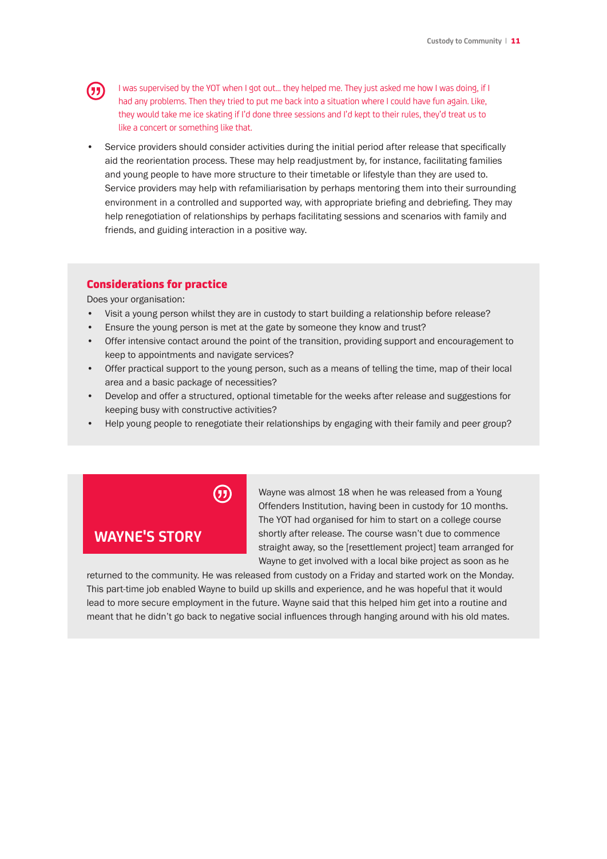

I was supervised by the YOT when I got out… they helped me. They just asked me how I was doing, if I had any problems. Then they tried to put me back into a situation where I could have fun again. Like, they would take me ice skating if I'd done three sessions and I'd kept to their rules, they'd treat us to like a concert or something like that.

Service providers should consider activities during the initial period after release that specifically aid the reorientation process. These may help readjustment by, for instance, facilitating families and young people to have more structure to their timetable or lifestyle than they are used to. Service providers may help with refamiliarisation by perhaps mentoring them into their surrounding environment in a controlled and supported way, with appropriate briefing and debriefing. They may help renegotiation of relationships by perhaps facilitating sessions and scenarios with family and friends, and guiding interaction in a positive way.

#### Considerations for practice

Does your organisation:

- Visit a young person whilst they are in custody to start building a relationship before release?
- Ensure the young person is met at the gate by someone they know and trust?
- Offer intensive contact around the point of the transition, providing support and encouragement to keep to appointments and navigate services?
- Offer practical support to the young person, such as a means of telling the time, map of their local area and a basic package of necessities?
- Develop and offer a structured, optional timetable for the weeks after release and suggestions for keeping busy with constructive activities?
- Help young people to renegotiate their relationships by engaging with their family and peer group?



#### **WAYNE'S STORY**

Wayne was almost 18 when he was released from a Young Offenders Institution, having been in custody for 10 months. The YOT had organised for him to start on a college course shortly after release. The course wasn't due to commence straight away, so the [resettlement project] team arranged for Wayne to get involved with a local bike project as soon as he

returned to the community. He was released from custody on a Friday and started work on the Monday. This part-time job enabled Wayne to build up skills and experience, and he was hopeful that it would lead to more secure employment in the future. Wayne said that this helped him get into a routine and meant that he didn't go back to negative social influences through hanging around with his old mates.